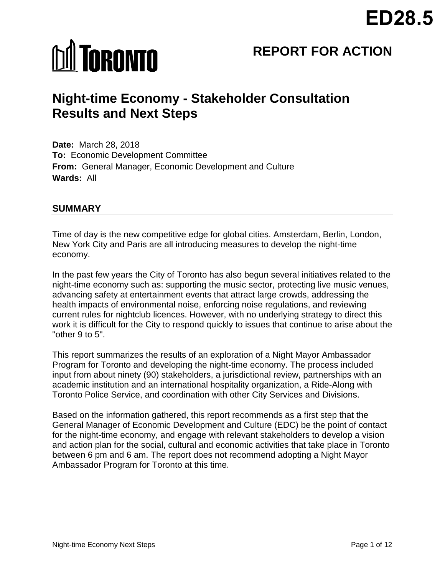# **MI TORONTO**

# **REPORT FOR ACTION**

# **Night-time Economy - Stakeholder Consultation Results and Next Steps**

**Date:** March 28, 2018 **To:** Economic Development Committee **From:** General Manager, Economic Development and Culture **Wards:** All

#### **SUMMARY**

Time of day is the new competitive edge for global cities. Amsterdam, Berlin, London, New York City and Paris are all introducing measures to develop the night-time economy.

In the past few years the City of Toronto has also begun several initiatives related to the night-time economy such as: supporting the music sector, protecting live music venues, advancing safety at entertainment events that attract large crowds, addressing the health impacts of environmental noise, enforcing noise regulations, and reviewing current rules for nightclub licences. However, with no underlying strategy to direct this work it is difficult for the City to respond quickly to issues that continue to arise about the "other 9 to 5".

This report summarizes the results of an exploration of a Night Mayor Ambassador Program for Toronto and developing the night-time economy. The process included input from about ninety (90) stakeholders, a jurisdictional review, partnerships with an academic institution and an international hospitality organization, a Ride-Along with Toronto Police Service, and coordination with other City Services and Divisions.

Based on the information gathered, this report recommends as a first step that the General Manager of Economic Development and Culture (EDC) be the point of contact for the night-time economy, and engage with relevant stakeholders to develop a vision and action plan for the social, cultural and economic activities that take place in Toronto between 6 pm and 6 am. The report does not recommend adopting a Night Mayor Ambassador Program for Toronto at this time.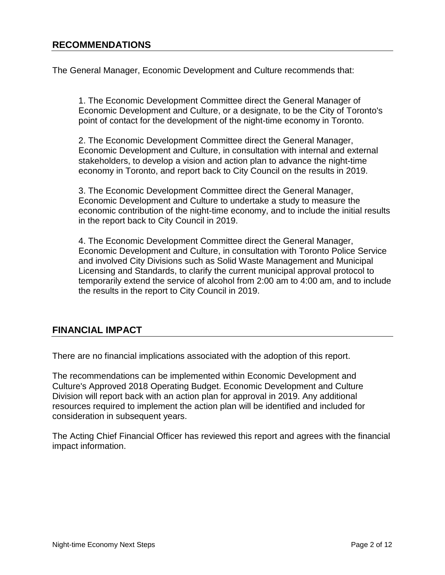# **RECOMMENDATIONS**

The General Manager, Economic Development and Culture recommends that:

1. The Economic Development Committee direct the General Manager of Economic Development and Culture, or a designate, to be the City of Toronto's point of contact for the development of the night-time economy in Toronto.

2. The Economic Development Committee direct the General Manager, Economic Development and Culture, in consultation with internal and external stakeholders, to develop a vision and action plan to advance the night-time economy in Toronto, and report back to City Council on the results in 2019.

3. The Economic Development Committee direct the General Manager, Economic Development and Culture to undertake a study to measure the economic contribution of the night-time economy, and to include the initial results in the report back to City Council in 2019.

4. The Economic Development Committee direct the General Manager, Economic Development and Culture, in consultation with Toronto Police Service and involved City Divisions such as Solid Waste Management and Municipal Licensing and Standards, to clarify the current municipal approval protocol to temporarily extend the service of alcohol from 2:00 am to 4:00 am, and to include the results in the report to City Council in 2019.

# **FINANCIAL IMPACT**

There are no financial implications associated with the adoption of this report.

The recommendations can be implemented within Economic Development and Culture's Approved 2018 Operating Budget. Economic Development and Culture Division will report back with an action plan for approval in 2019. Any additional resources required to implement the action plan will be identified and included for consideration in subsequent years.

The Acting Chief Financial Officer has reviewed this report and agrees with the financial impact information.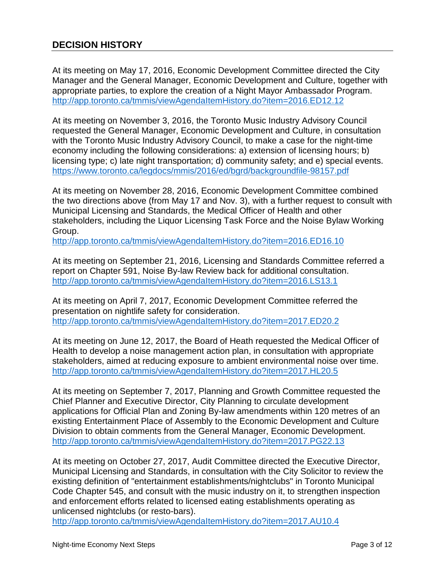At its meeting on May 17, 2016, Economic Development Committee directed the City Manager and the General Manager, Economic Development and Culture, together with appropriate parties, to explore the creation of a Night Mayor Ambassador Program. <http://app.toronto.ca/tmmis/viewAgendaItemHistory.do?item=2016.ED12.12>

At its meeting on November 3, 2016, the Toronto Music Industry Advisory Council requested the General Manager, Economic Development and Culture, in consultation with the Toronto Music Industry Advisory Council, to make a case for the night-time economy including the following considerations: a) extension of licensing hours; b) licensing type; c) late night transportation; d) community safety; and e) special events. <https://www.toronto.ca/legdocs/mmis/2016/ed/bgrd/backgroundfile-98157.pdf>

At its meeting on November 28, 2016, Economic Development Committee combined the two directions above (from May 17 and Nov. 3), with a further request to consult with Municipal Licensing and Standards, the Medical Officer of Health and other stakeholders, including the Liquor Licensing Task Force and the Noise Bylaw Working Group.

<http://app.toronto.ca/tmmis/viewAgendaItemHistory.do?item=2016.ED16.10>

At its meeting on September 21, 2016, Licensing and Standards Committee referred a report on Chapter 591, Noise By-law Review back for additional consultation. <http://app.toronto.ca/tmmis/viewAgendaItemHistory.do?item=2016.LS13.1>

At its meeting on April 7, 2017, Economic Development Committee referred the presentation on nightlife safety for consideration. <http://app.toronto.ca/tmmis/viewAgendaItemHistory.do?item=2017.ED20.2>

At its meeting on June 12, 2017, the Board of Heath requested the Medical Officer of Health to develop a noise management action plan, in consultation with appropriate stakeholders, aimed at reducing exposure to ambient environmental noise over time. <http://app.toronto.ca/tmmis/viewAgendaItemHistory.do?item=2017.HL20.5>

At its meeting on September 7, 2017, Planning and Growth Committee requested the Chief Planner and Executive Director, City Planning to circulate development applications for Official Plan and Zoning By-law amendments within 120 metres of an existing Entertainment Place of Assembly to the Economic Development and Culture Division to obtain comments from the General Manager, Economic Development. <http://app.toronto.ca/tmmis/viewAgendaItemHistory.do?item=2017.PG22.13>

At its meeting on October 27, 2017, Audit Committee directed the Executive Director, Municipal Licensing and Standards, in consultation with the City Solicitor to review the existing definition of "entertainment establishments/nightclubs" in Toronto Municipal Code Chapter 545, and consult with the music industry on it, to strengthen inspection and enforcement efforts related to licensed eating establishments operating as unlicensed nightclubs (or resto-bars).

<http://app.toronto.ca/tmmis/viewAgendaItemHistory.do?item=2017.AU10.4>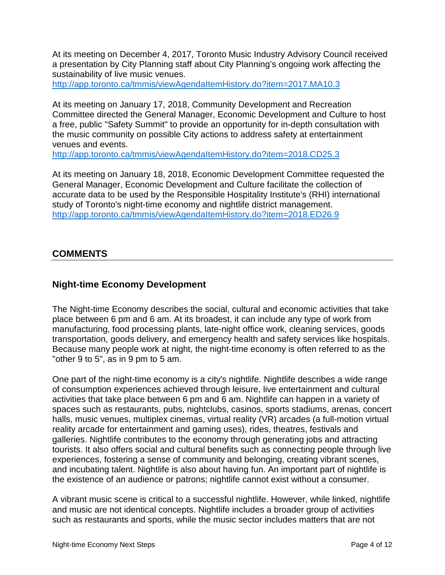At its meeting on December 4, 2017, Toronto Music Industry Advisory Council received a presentation by City Planning staff about City Planning's ongoing work affecting the sustainability of live music venues.

http://app.toronto.ca/tmmis/viewAgendaItemHistory.do?item=2017.MA10.3

At its meeting on January 17, 2018, Community Development and Recreation Committee directed the General Manager, Economic Development and Culture to host a free, public "Safety Summit" to provide an opportunity for in-depth consultation with the music community on possible City actions to address safety at entertainment venues and events.

<http://app.toronto.ca/tmmis/viewAgendaItemHistory.do?item=2018.CD25.3>

At its meeting on January 18, 2018, Economic Development Committee requested the General Manager, Economic Development and Culture facilitate the collection of accurate data to be used by the Responsible Hospitality Institute's (RHI) international study of Toronto's night-time economy and nightlife district management. <http://app.toronto.ca/tmmis/viewAgendaItemHistory.do?item=2018.ED26.9>

# **COMMENTS**

# **Night-time Economy Development**

The Night-time Economy describes the social, cultural and economic activities that take place between 6 pm and 6 am. At its broadest, it can include any type of work from manufacturing, food processing plants, late-night office work, cleaning services, goods transportation, goods delivery, and emergency health and safety services like hospitals. Because many people work at night, the night-time economy is often referred to as the "other 9 to 5", as in 9 pm to 5 am.

One part of the night-time economy is a city's nightlife. Nightlife describes a wide range of consumption experiences achieved through leisure, live entertainment and cultural activities that take place between 6 pm and 6 am. Nightlife can happen in a variety of spaces such as restaurants, pubs, nightclubs, casinos, sports stadiums, arenas, concert halls, music venues, multiplex cinemas, virtual reality (VR) arcades (a full-motion virtual reality arcade for entertainment and gaming uses), rides, theatres, festivals and galleries. Nightlife contributes to the economy through generating jobs and attracting tourists. It also offers social and cultural benefits such as connecting people through live experiences, fostering a sense of community and belonging, creating vibrant scenes, and incubating talent. Nightlife is also about having fun. An important part of nightlife is the existence of an audience or patrons; nightlife cannot exist without a consumer.

A vibrant music scene is critical to a successful nightlife. However, while linked, nightlife and music are not identical concepts. Nightlife includes a broader group of activities such as restaurants and sports, while the music sector includes matters that are not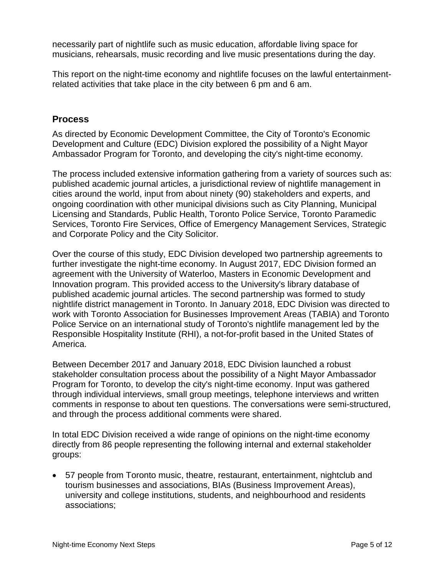necessarily part of nightlife such as music education, affordable living space for musicians, rehearsals, music recording and live music presentations during the day.

This report on the night-time economy and nightlife focuses on the lawful entertainmentrelated activities that take place in the city between 6 pm and 6 am.

### **Process**

As directed by Economic Development Committee, the City of Toronto's Economic Development and Culture (EDC) Division explored the possibility of a Night Mayor Ambassador Program for Toronto, and developing the city's night-time economy.

The process included extensive information gathering from a variety of sources such as: published academic journal articles, a jurisdictional review of nightlife management in cities around the world, input from about ninety (90) stakeholders and experts, and ongoing coordination with other municipal divisions such as City Planning, Municipal Licensing and Standards, Public Health, Toronto Police Service, Toronto Paramedic Services, Toronto Fire Services, Office of Emergency Management Services, Strategic and Corporate Policy and the City Solicitor.

Over the course of this study, EDC Division developed two partnership agreements to further investigate the night-time economy. In August 2017, EDC Division formed an agreement with the University of Waterloo, Masters in Economic Development and Innovation program. This provided access to the University's library database of published academic journal articles. The second partnership was formed to study nightlife district management in Toronto. In January 2018, EDC Division was directed to work with Toronto Association for Businesses Improvement Areas (TABIA) and Toronto Police Service on an international study of Toronto's nightlife management led by the Responsible Hospitality Institute (RHI), a not-for-profit based in the United States of America.

Between December 2017 and January 2018, EDC Division launched a robust stakeholder consultation process about the possibility of a Night Mayor Ambassador Program for Toronto, to develop the city's night-time economy. Input was gathered through individual interviews, small group meetings, telephone interviews and written comments in response to about ten questions. The conversations were semi-structured, and through the process additional comments were shared.

In total EDC Division received a wide range of opinions on the night-time economy directly from 86 people representing the following internal and external stakeholder groups:

• 57 people from Toronto music, theatre, restaurant, entertainment, nightclub and tourism businesses and associations, BIAs (Business Improvement Areas), university and college institutions, students, and neighbourhood and residents associations;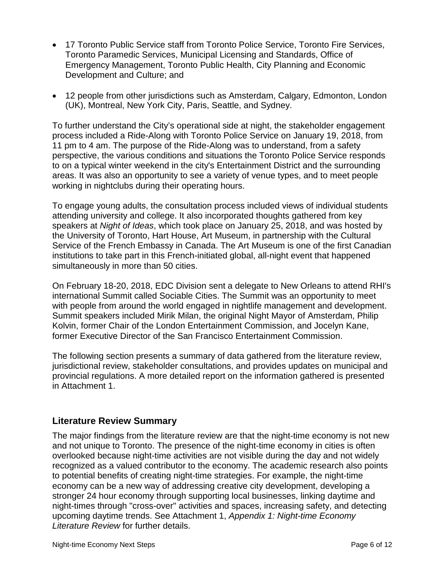- 17 Toronto Public Service staff from Toronto Police Service, Toronto Fire Services, Toronto Paramedic Services, Municipal Licensing and Standards, Office of Emergency Management, Toronto Public Health, City Planning and Economic Development and Culture; and
- 12 people from other jurisdictions such as Amsterdam, Calgary, Edmonton, London (UK), Montreal, New York City, Paris, Seattle, and Sydney.

To further understand the City's operational side at night, the stakeholder engagement process included a Ride-Along with Toronto Police Service on January 19, 2018, from 11 pm to 4 am. The purpose of the Ride-Along was to understand, from a safety perspective, the various conditions and situations the Toronto Police Service responds to on a typical winter weekend in the city's Entertainment District and the surrounding areas. It was also an opportunity to see a variety of venue types, and to meet people working in nightclubs during their operating hours.

To engage young adults, the consultation process included views of individual students attending university and college. It also incorporated thoughts gathered from key speakers at *Night of Ideas*, which took place on January 25, 2018, and was hosted by the University of Toronto, Hart House, Art Museum, in partnership with the Cultural Service of the French Embassy in Canada. The Art Museum is one of the first Canadian institutions to take part in this French-initiated global, all-night event that happened simultaneously in more than 50 cities.

On February 18-20, 2018, EDC Division sent a delegate to New Orleans to attend RHI's international Summit called Sociable Cities. The Summit was an opportunity to meet with people from around the world engaged in nightlife management and development. Summit speakers included Mirik Milan, the original Night Mayor of Amsterdam, Philip Kolvin, former Chair of the London Entertainment Commission, and Jocelyn Kane, former Executive Director of the [San Francisco Entertainment Commission.](http://www.sfgov.org/entertainment#http://www.sfgov.org/entertainment#)

The following section presents a summary of data gathered from the literature review, jurisdictional review, stakeholder consultations, and provides updates on municipal and provincial regulations. A more detailed report on the information gathered is presented in Attachment 1.

# **Literature Review Summary**

The major findings from the literature review are that the night-time economy is not new and not unique to Toronto. The presence of the night-time economy in cities is often overlooked because night-time activities are not visible during the day and not widely recognized as a valued contributor to the economy. The academic research also points to potential benefits of creating night-time strategies. For example, the night-time economy can be a new way of addressing creative city development, developing a stronger 24 hour economy through supporting local businesses, linking daytime and night-times through "cross-over" activities and spaces, increasing safety, and detecting upcoming daytime trends. See Attachment 1, *Appendix 1: Night-time Economy Literature Review* for further details.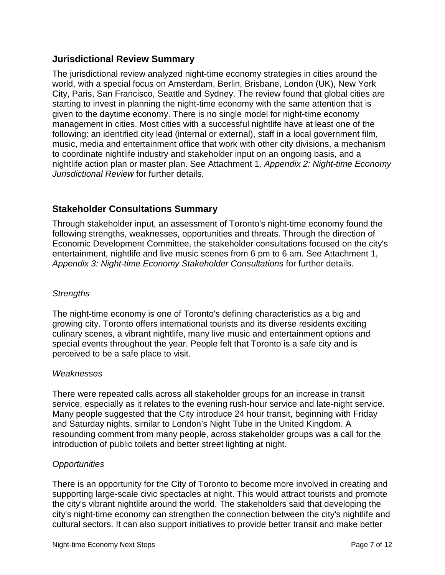# **Jurisdictional Review Summary**

The jurisdictional review analyzed night-time economy strategies in cities around the world, with a special focus on Amsterdam, Berlin, Brisbane, London (UK), New York City, Paris, San Francisco, Seattle and Sydney. The review found that global cities are starting to invest in planning the night-time economy with the same attention that is given to the daytime economy. There is no single model for night-time economy management in cities. Most cities with a successful nightlife have at least one of the following: an identified city lead (internal or external), staff in a local government film, music, media and entertainment office that work with other city divisions, a mechanism to coordinate nightlife industry and stakeholder input on an ongoing basis, and a nightlife action plan or master plan. See Attachment 1*, Appendix 2: Night-time Economy Jurisdictional Review* for further details.

# **Stakeholder Consultations Summary**

Through stakeholder input, an assessment of Toronto's night-time economy found the following strengths, weaknesses, opportunities and threats. Through the direction of Economic Development Committee, the stakeholder consultations focused on the city's entertainment, nightlife and live music scenes from 6 pm to 6 am. See Attachment 1, *Appendix 3: Night-time Economy Stakeholder Consultation*s for further details.

# *Strengths*

The night-time economy is one of Toronto's defining characteristics as a big and growing city. Toronto offers international tourists and its diverse residents exciting culinary scenes, a vibrant nightlife, many live music and entertainment options and special events throughout the year. People felt that Toronto is a safe city and is perceived to be a safe place to visit.

#### *Weaknesses*

There were repeated calls across all stakeholder groups for an increase in transit service, especially as it relates to the evening rush-hour service and late-night service. Many people suggested that the City introduce 24 hour transit, beginning with Friday and Saturday nights, similar to London's Night Tube in the United Kingdom. A resounding comment from many people, across stakeholder groups was a call for the introduction of public toilets and better street lighting at night.

#### *Opportunities*

There is an opportunity for the City of Toronto to become more involved in creating and supporting large-scale civic spectacles at night. This would attract tourists and promote the city's vibrant nightlife around the world. The stakeholders said that developing the city's night-time economy can strengthen the connection between the city's nightlife and cultural sectors. It can also support initiatives to provide better transit and make better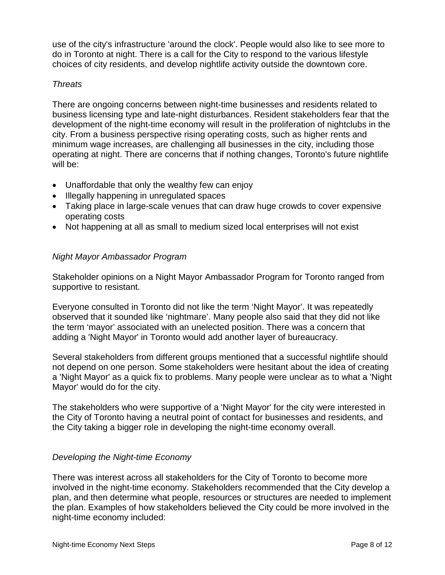use of the city's infrastructure 'around the clock'. People would also like to see more to do in Toronto at night. There is a call for the City to respond to the various lifestyle choices of city residents, and develop nightlife activity outside the downtown core.

#### *Threats*

There are ongoing concerns between night-time businesses and residents related to business licensing type and late-night disturbances. Resident stakeholders fear that the development of the night-time economy will result in the proliferation of nightclubs in the city. From a business perspective rising operating costs, such as higher rents and minimum wage increases, are challenging all businesses in the city, including those operating at night. There are concerns that if nothing changes, Toronto's future nightlife will be:

- Unaffordable that only the wealthy few can enjoy
- Illegally happening in unregulated spaces
- Taking place in large-scale venues that can draw huge crowds to cover expensive operating costs
- Not happening at all as small to medium sized local enterprises will not exist

#### *Night Mayor Ambassador Program*

Stakeholder opinions on a Night Mayor Ambassador Program for Toronto ranged from supportive to resistant.

Everyone consulted in Toronto did not like the term 'Night Mayor'. It was repeatedly observed that it sounded like 'nightmare'. Many people also said that they did not like the term 'mayor' associated with an unelected position. There was a concern that adding a 'Night Mayor' in Toronto would add another layer of bureaucracy.

Several stakeholders from different groups mentioned that a successful nightlife should not depend on one person. Some stakeholders were hesitant about the idea of creating a 'Night Mayor' as a quick fix to problems. Many people were unclear as to what a 'Night Mayor' would do for the city.

The stakeholders who were supportive of a 'Night Mayor' for the city were interested in the City of Toronto having a neutral point of contact for businesses and residents, and the City taking a bigger role in developing the night-time economy overall.

#### *Developing the Night-time Economy*

There was interest across all stakeholders for the City of Toronto to become more involved in the night-time economy. Stakeholders recommended that the City develop a plan, and then determine what people, resources or structures are needed to implement the plan. Examples of how stakeholders believed the City could be more involved in the night-time economy included: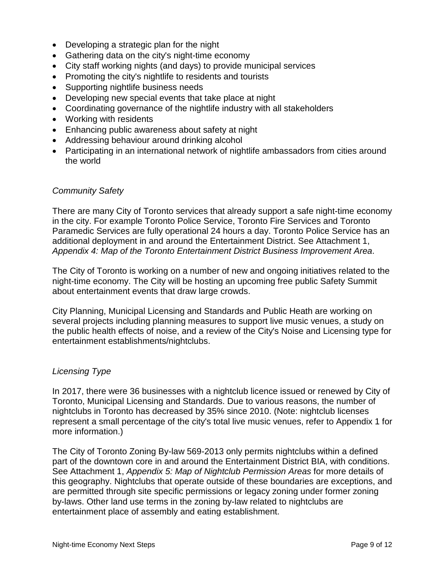- Developing a strategic plan for the night
- Gathering data on the city's night-time economy
- City staff working nights (and days) to provide municipal services
- Promoting the city's nightlife to residents and tourists
- Supporting nightlife business needs
- Developing new special events that take place at night
- Coordinating governance of the nightlife industry with all stakeholders
- Working with residents
- Enhancing public awareness about safety at night
- Addressing behaviour around drinking alcohol
- Participating in an international network of nightlife ambassadors from cities around the world

#### *Community Safety*

There are many City of Toronto services that already support a safe night-time economy in the city. For example Toronto Police Service, Toronto Fire Services and Toronto Paramedic Services are fully operational 24 hours a day. Toronto Police Service has an additional deployment in and around the Entertainment District. See Attachment 1, *Appendix 4: Map of the Toronto Entertainment District Business Improvement Area*.

The City of Toronto is working on a number of new and ongoing initiatives related to the night-time economy. The City will be hosting an upcoming free public Safety Summit about entertainment events that draw large crowds.

City Planning, Municipal Licensing and Standards and Public Heath are working on several projects including planning measures to support live music venues, a study on the public health effects of noise, and a review of the City's Noise and Licensing type for entertainment establishments/nightclubs.

#### *Licensing Type*

In 2017, there were 36 businesses with a nightclub licence issued or renewed by City of Toronto, Municipal Licensing and Standards. Due to various reasons, the number of nightclubs in Toronto has decreased by 35% since 2010. (Note: nightclub licenses represent a small percentage of the city's total live music venues, refer to Appendix 1 for more information.)

The City of Toronto Zoning By-law 569-2013 only permits nightclubs within a defined part of the downtown core in and around the Entertainment District BIA, with conditions. See Attachment 1, *Appendix 5: Map of Nightclub Permission Areas* for more details of this geography. Nightclubs that operate outside of these boundaries are exceptions, and are permitted through site specific permissions or legacy zoning under former zoning by-laws. Other land use terms in the zoning by-law related to nightclubs are entertainment place of assembly and eating establishment.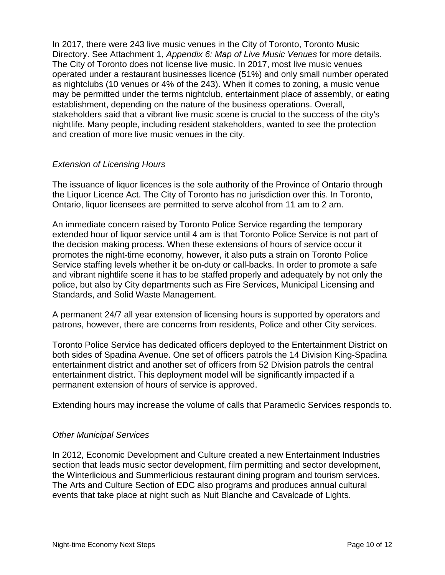In 2017, there were 243 live music venues in the City of Toronto, Toronto Music Directory. See Attachment 1, *Appendix 6: Map of Live Music Venues* for more details. The City of Toronto does not license live music. In 2017, most live music venues operated under a restaurant businesses licence (51%) and only small number operated as nightclubs (10 venues or 4% of the 243). When it comes to zoning, a music venue may be permitted under the terms nightclub, entertainment place of assembly, or eating establishment, depending on the nature of the business operations. Overall, stakeholders said that a vibrant live music scene is crucial to the success of the city's nightlife. Many people, including resident stakeholders, wanted to see the protection and creation of more live music venues in the city.

#### *Extension of Licensing Hours*

The issuance of liquor licences is the sole authority of the Province of Ontario through the Liquor Licence Act. The City of Toronto has no jurisdiction over this. In Toronto, Ontario, liquor licensees are permitted to serve alcohol from 11 am to 2 am.

An immediate concern raised by Toronto Police Service regarding the temporary extended hour of liquor service until 4 am is that Toronto Police Service is not part of the decision making process. When these extensions of hours of service occur it promotes the night-time economy, however, it also puts a strain on Toronto Police Service staffing levels whether it be on-duty or call-backs. In order to promote a safe and vibrant nightlife scene it has to be staffed properly and adequately by not only the police, but also by City departments such as Fire Services, Municipal Licensing and Standards, and Solid Waste Management.

A permanent 24/7 all year extension of licensing hours is supported by operators and patrons, however, there are concerns from residents, Police and other City services.

Toronto Police Service has dedicated officers deployed to the Entertainment District on both sides of Spadina Avenue. One set of officers patrols the 14 Division King-Spadina entertainment district and another set of officers from 52 Division patrols the central entertainment district. This deployment model will be significantly impacted if a permanent extension of hours of service is approved.

Extending hours may increase the volume of calls that Paramedic Services responds to.

#### *Other Municipal Services*

In 2012, Economic Development and Culture created a new Entertainment Industries section that leads music sector development, film permitting and sector development, the Winterlicious and Summerlicious restaurant dining program and tourism services. The Arts and Culture Section of EDC also programs and produces annual cultural events that take place at night such as Nuit Blanche and Cavalcade of Lights.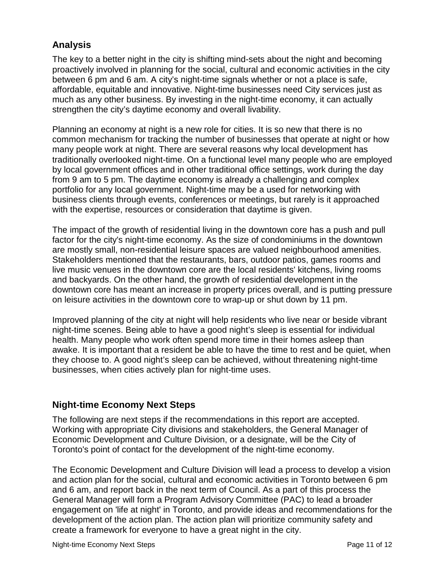# **Analysis**

The key to a better night in the city is shifting mind-sets about the night and becoming proactively involved in planning for the social, cultural and economic activities in the city between 6 pm and 6 am. A city's night-time signals whether or not a place is safe, affordable, equitable and innovative. Night-time businesses need City services just as much as any other business. By investing in the night-time economy, it can actually strengthen the city's daytime economy and overall livability.

Planning an economy at night is a new role for cities. It is so new that there is no common mechanism for tracking the number of businesses that operate at night or how many people work at night. There are several reasons why local development has traditionally overlooked night-time. On a functional level many people who are employed by local government offices and in other traditional office settings, work during the day from 9 am to 5 pm. The daytime economy is already a challenging and complex portfolio for any local government. Night-time may be a used for networking with business clients through events, conferences or meetings, but rarely is it approached with the expertise, resources or consideration that daytime is given.

The impact of the growth of residential living in the downtown core has a push and pull factor for the city's night-time economy. As the size of condominiums in the downtown are mostly small, non-residential leisure spaces are valued neighbourhood amenities. Stakeholders mentioned that the restaurants, bars, outdoor patios, games rooms and live music venues in the downtown core are the local residents' kitchens, living rooms and backyards. On the other hand, the growth of residential development in the downtown core has meant an increase in property prices overall, and is putting pressure on leisure activities in the downtown core to wrap-up or shut down by 11 pm.

Improved planning of the city at night will help residents who live near or beside vibrant night-time scenes. Being able to have a good night's sleep is essential for individual health. Many people who work often spend more time in their homes asleep than awake. It is important that a resident be able to have the time to rest and be quiet, when they choose to. A good night's sleep can be achieved, without threatening night-time businesses, when cities actively plan for night-time uses.

# **Night-time Economy Next Steps**

The following are next steps if the recommendations in this report are accepted. Working with appropriate City divisions and stakeholders, the General Manager of Economic Development and Culture Division, or a designate, will be the City of Toronto's point of contact for the development of the night-time economy.

The Economic Development and Culture Division will lead a process to develop a vision and action plan for the social, cultural and economic activities in Toronto between 6 pm and 6 am, and report back in the next term of Council. As a part of this process the General Manager will form a Program Advisory Committee (PAC) to lead a broader engagement on 'life at night' in Toronto, and provide ideas and recommendations for the development of the action plan. The action plan will prioritize community safety and create a framework for everyone to have a great night in the city.